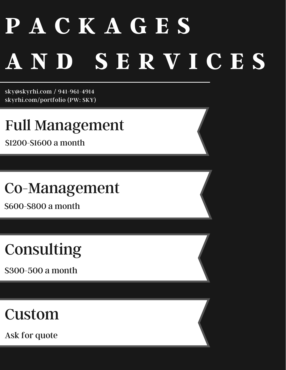# **P A C K A G E S A N D S E R V I C E S**

sky@skyrhi.com / 941-961-4914 skyrhi.com/portfolio (PW: SKY)

Full Management

\$1200-\$1600 a month

Co-Management

\$600-\$800 a month

### Consulting

\$300-500 a month

### Custom

Ask for quote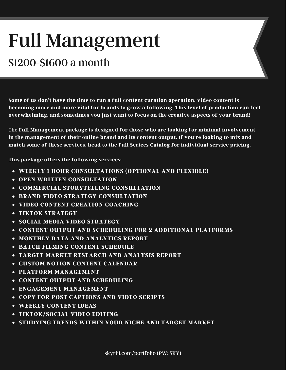## Full Management

#### \$1200-\$1600 a month

**Some of us don't have the time to run a full content curation operation. Video content is becoming more and more vital for brands to grow a following. This level of production can feel overwhelming, and sometimes you just want to focus on the creative aspects of your brand!**

The **Full Management package is designed for those who are looking for minimal involvement in the management of their online brand and its content output. If you're looking to mix and match some of these services, head to the Full Serices Catalog for individual service pricing.**

**This package offers the following services:**

- **WEEKLY 1 HOUR CONSULTATIONS (OPTIONAL AND FLEXIBLE)**
- **OPEN WRITTEN CONSULTATION**
- **COMMERCIAL STORYTELLING CONSULTATION**
- **BRAND VIDEO STRATEGY CONSULTATION**
- **VIDEO CONTENT CREATION COACHING**
- **TIKTOK STRATEGY**
- **SOCIAL MEDIA VIDEO STRATEGY**
- **CONTENT OUTPUT AND SCHEDULING FOR 2 ADDITIONAL PLATFORMS**
- **MONTHLY DATA AND ANALYTICS REPORT**
- **BATCH FILMING CONTENT SCHEDULE**
- **TARGET MARKET RESEARCH AND ANALYSIS REPORT**
- **CUSTOM NOTION CONTENT CALENDAR**
- **PLATFORM MANAGEMENT**
- **CONTENT OUTPUT AND SCHEDULING**
- **ENGAGEMENT MANAGEMENT**
- **COPY FOR POST CAPTIONS AND VIDEO SCRIPTS**
- **WEEKLY CONTENT IDEAS**
- **TIKTOK/SOCIAL VIDEO EDITING**
- **STUDYING TRENDS WITHIN YOUR NICHE AND TARGET MARKET**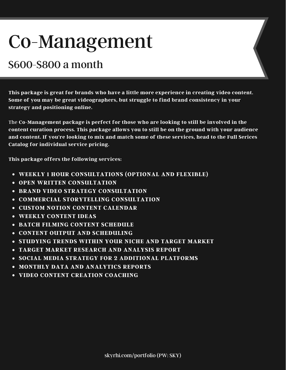### Co-Management

#### \$600-\$800 a month

**This package is great for brands who have a little more experience in creating video content. Some of you may be great videographers, but struggle to find brand consistency in your strategy and positioning online.**

The **Co-Management package is perfect for those who are looking to still be involved in the content curation process. This package allows you to still be on the ground with your audience and content. If you're looking to mix and match some of these services, head to the Full Serices Catalog for individual service pricing.**

**This package offers the following services:**

- **WEEKLY 1 HOUR CONSULTATIONS (OPTIONAL AND FLEXIBLE)**
- **OPEN WRITTEN CONSULTATION**
- **BRAND VIDEO STRATEGY CONSULTATION**
- **COMMERCIAL STORYTELLING CONSULTATION**
- **CUSTOM NOTION CONTENT CALENDAR**
- **WEEKLY CONTENT IDEAS**
- **BATCH FILMING CONTENT SCHEDULE**
- **CONTENT OUTPUT AND SCHEDULING**
- **STUDYING TRENDS WITHIN YOUR NICHE AND TARGET MARKET**
- **TARGET MARKET RESEARCH AND ANALYSIS REPORT**
- **SOCIAL MEDIA STRATEGY FOR 2 ADDITIONAL PLATFORMS**
- **MONTHLY DATA AND ANALYTICS REPORTS**
- **VIDEO CONTENT CREATION COACHING**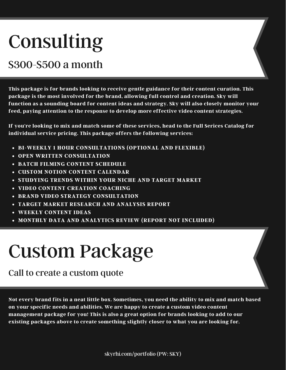### Consulting

#### \$300-\$500 a month

**This package is for brands looking to receive gentle guidance for their content curation. This package is the most involved for the brand, allowing full control and creation. Sky will function as a sounding board for content ideas and strategy. Sky will also closely monitor your feed, paying attention to the response to develop more effective video content strategies.**

**If you're looking to mix and match some of these services, head to the Full Serices Catalog for individual service pricing. This package offers the following services:**

- **BI-WEEKLY 1 HOUR CONSULTATIONS (OPTIONAL AND FLEXIBLE)**
- **OPEN WRITTEN CONSULTATION**
- **BATCH FILMING CONTENT SCHEDULE**
- **CUSTOM NOTION CONTENT CALENDAR**
- **STUDYING TRENDS WITHIN YOUR NICHE AND TARGET MARKET**
- **VIDEO CONTENT CREATION COACHING**
- **BRAND VIDEO STRATEGY CONSULTATION**
- **TARGET MARKET RESEARCH AND ANALYSIS REPORT**
- **WEEKLY CONTENT IDEAS**
- **MONTHLY DATA AND ANALYTICS REVIEW (REPORT NOT INCLUDED)**

### Custom Package

#### Call to create a custom quote

Not every brand fits in a neat little box. Sometimes, you need the ability to mix and match based **on your specific needs and abilities. We are happy to create a custom video content management package for you! This is also a great option for brands looking to add to our existing packages above to create something slightly closer to what you are looking for.**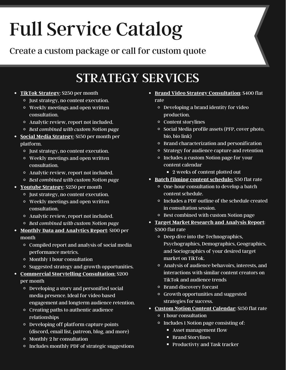# Full Service Catalog

Create a custom package or call for custom quote

#### STRATEGY SERVICES

- **TikTok Strategy**: \$250 per month
	- Just strategy, no content execution.
	- Weekly meetings and open written consultation.
	- Analytic review, report not included.
	- *Best combined with custom Notion page*
- **Social Media Strategy**: \$150 per month per platform.
	- Just strategy, no content execution.
	- Weekly meetings and open written consultation.
	- Analytic review, report not included.
	- *Best combined with custom Notion page*
- **Youtube Strategy**: \$250 per month
	- Just strategy, no content execution.
	- Weekly meetings and open written consultation.
	- Analytic review, report not included.
	- *Best combined with custom Notion page*
- **Monthly Data and Analytics Report**: \$100 per month
	- Compiled report and analysis of social media performance metrics.
	- Monthly 1 hour consultation
	- Suggested strategy and growth opportunities.
- **Commercial Storytelling Consultation:** \$200 per month
	- Developing a story and personified social media presence. Ideal for video based engagement and longterm audience retention.
	- Creating paths to authentic audience relationships
	- Developing off platform capture points (discord, email list, patreon, blog, and more)
	- Monthly 2 hr consultation
	- Includes monthly PDF of strategic suggestions
- **Brand Video Strategy Consultation**: \$400 flat rate
	- Developing a brand identity for video production.
	- Content storylines
	- Social Media profile assets (PFP, cover photo, bio, bio link)
	- Brand characterization and personification
	- Strategy for audience capture and retention
	- Includes a custom Notion page for your content calendar
		- **2** weeks of content plotted out
- **Batch filming content schedule:** \$50 flat rate
	- One-hour consultation to develop a batch content schedule.
	- Includes a PDF outline of the schedule created in consultation session.
	- Best combined with custom Notion page
- **Target Market Research and Analysis Report**: \$300 flat rate
	- Deep dive into the Technographics, Psychographics, Demographics, Geographics, and Sociographics of your desired target market on TikTok.
	- Analysis of audience behavoirs, interests, and interactions with similar content creators on TikTok and audience trends
	- Brand discovery forcast
	- Growth opportunities and suggested strategies for success.
- **Custom Notion Content Calendar**: \$150 flat rate
	- 1 hour consultation
	- Includes 1 Notion page consisting of:
		- **Asset management flow**
		- **Brand Storylines**
		- **Productivty and Task tracker**